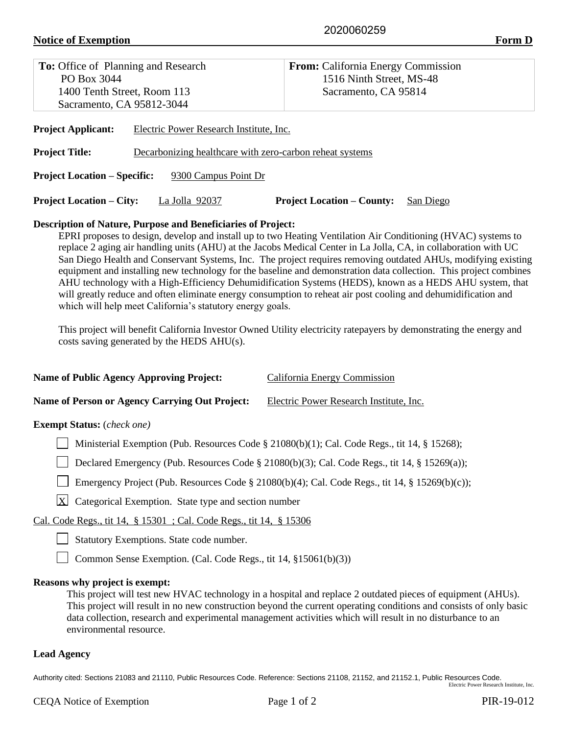# **Notice of Exemption Form D**

| <b>To:</b> Office of Planning and Research                                        | <b>From:</b> California Energy Commission      |  |  |  |  |
|-----------------------------------------------------------------------------------|------------------------------------------------|--|--|--|--|
| PO Box 3044                                                                       | 1516 Ninth Street, MS-48                       |  |  |  |  |
| 1400 Tenth Street, Room 113                                                       | Sacramento, CA 95814                           |  |  |  |  |
| Sacramento, CA 95812-3044                                                         |                                                |  |  |  |  |
| <b>Project Applicant:</b><br>Electric Power Research Institute, Inc.              |                                                |  |  |  |  |
| <b>Project Title:</b><br>Decarbonizing healthcare with zero-carbon reheat systems |                                                |  |  |  |  |
| <b>Project Location – Specific:</b><br>9300 Campus Point Dr                       |                                                |  |  |  |  |
| <b>Project Location – City:</b><br>La Jolla 92037                                 | <b>Project Location – County:</b><br>San Diego |  |  |  |  |
| <b>Description of Nature, Purpose and Beneficiaries of Project:</b>               |                                                |  |  |  |  |

## **Description of Nature, Purpose and Beneficiaries of Project:**

EPRI proposes to design, develop and install up to two Heating Ventilation Air Conditioning (HVAC) systems to replace 2 aging air handling units (AHU) at the Jacobs Medical Center in La Jolla, CA, in collaboration with UC San Diego Health and Conservant Systems, Inc. The project requires removing outdated AHUs, modifying existing equipment and installing new technology for the baseline and demonstration data collection. This project combines AHU technology with a High-Efficiency Dehumidification Systems (HEDS), known as a HEDS AHU system, that will greatly reduce and often eliminate energy consumption to reheat air post cooling and dehumidification and which will help meet California's statutory energy goals.

This project will benefit California Investor Owned Utility electricity ratepayers by demonstrating the energy and costs saving generated by the HEDS AHU(s).

| <b>Name of Public Agency Approving Project:</b> | California Energy Commission |
|-------------------------------------------------|------------------------------|
|                                                 |                              |

**Name of Person or Agency Carrying Out Project:** Electric Power Research Institute, Inc.

## **Exempt Status:** (*check one)*

Ministerial Exemption (Pub. Resources Code § 21080(b)(1); Cal. Code Regs., tit 14, § 15268);

Declared Emergency (Pub. Resources Code  $\S 21080(b)(3)$ ; Cal. Code Regs., tit 14,  $\S 15269(a)$ );

Emergency Project (Pub. Resources Code § 21080(b)(4); Cal. Code Regs., tit 14, § 15269(b)(c));

 $X$  Categorical Exemption. State type and section number

Cal. Code Regs., tit 14, § 15301 ; Cal. Code Regs., tit 14, § 15306

Statutory Exemptions. State code number.

□ Common Sense Exemption. (Cal. Code Regs., tit 14, §15061(b)(3))

### **Reasons why project is exempt:**

This project will test new HVAC technology in a hospital and replace 2 outdated pieces of equipment (AHUs). This project will result in no new construction beyond the current operating conditions and consists of only basic data collection, research and experimental management activities which will result in no disturbance to an environmental resource.

### **Lead Agency**

Authority cited: Sections 21083 and 21110, Public Resources Code. Reference: Sections 21108, 21152, and 21152.1, Public Resources Code. Electric Power Research Institute, Inc.

CEQA Notice of Exemption Page 1 of 2 PIR-19-012